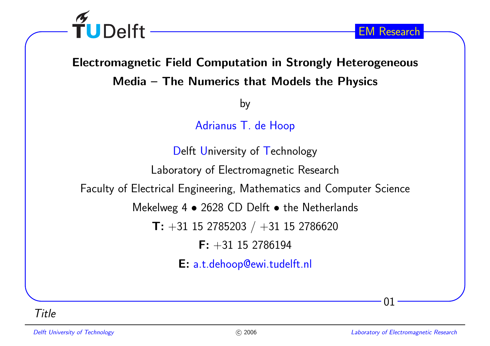

# Electromagnetic Field Computation in Strongly Heterogeneous

Media – The Numerics that Models the Physics

by

Adrianus T. de Hoop

Delft University of Technology

Laboratory of Electromagnetic Research

Faculty of Electrical Engineering, Mathematics and Computer Science

Mekelweg 4  $\bullet$  2628 CD Delft  $\bullet$  the Netherlands

 $\mathsf{T}\colon +31$  15 2785203  $/$   $+31$  15 2786620

 $\mathsf{F:} +31$  15 2786194

E: a.t.dehoop@ewi.tudelft.nl

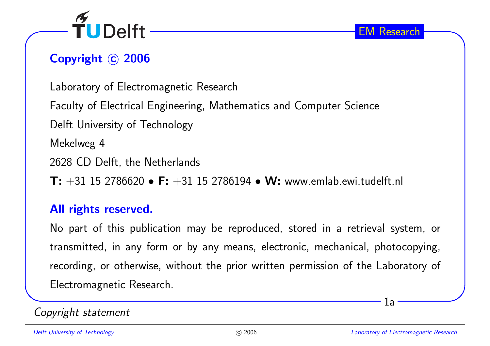

## Copyright © 2006

Laboratory of Electromagnetic Research

Faculty of Electrical Engineering, Mathematics and Computer Science

Delft University of Technology

Mekelweg <sup>4</sup>

<sup>2628</sup> CD Delft, the Netherlands

 $\textsf{T: +31 15 2786620}\bullet\textsf{F: +31 15 2786194}\bullet\textsf{W: www.emlab.ewi.tudelft.nl}$ 

#### All rights reserved.

No part of this publication may be reproduced, stored in <sup>a</sup> retrieval system, ortransmitted, in any form or by any means, electronic, mechanical, <sup>p</sup>hotocopying, recording, or otherwise, without the prior written permission of the Laboratory of Electromagnetic Research.

#### Copyright statement

1a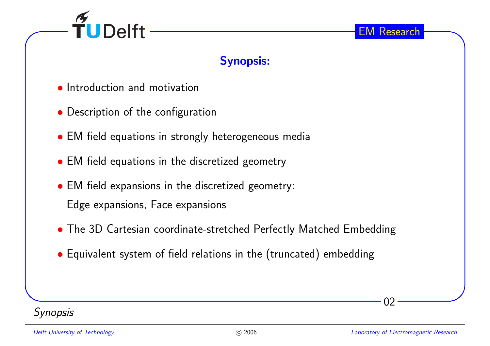

#### Synopsis:

- Introduction and motivation
- Description of the configuration
- EM field equations in strongly heterogeneous media
- EM field equations in the discretized geometry
- EM field expansions in the discretized geometry: Edge expansions, Face expansions
- The 3D Cartesian coordinate-stretched Perfectly Matched Embedding
- Equivalent system of field relations in the (truncated) embedding

#### **Synopsis**

02

EM Research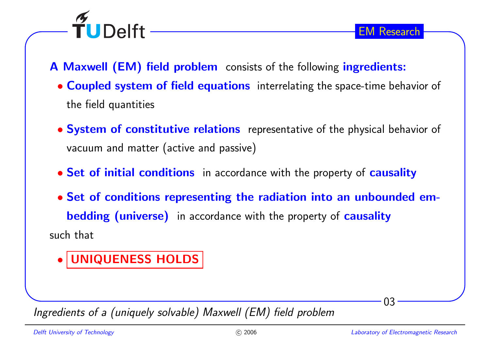

A Maxwell (EM) field problem consists of the following ingredients:

- **Coupled system of field equations** interrelating the space-time behavior of the field quantities
- **System of constitutive relations** representative of the physical behavior of vacuum and matter (active and passive)
- **Set of initial conditions** in accordance with the property of **causality**
- Set of conditions representing the radiation into an unbounded em**bedding (universe)** in accordance with the property of causality such that

#### •UNIQUENESS HOLDS

TUDelft -

Ingredients of <sup>a</sup> (uniquely solvable) Maxwell (EM) field problem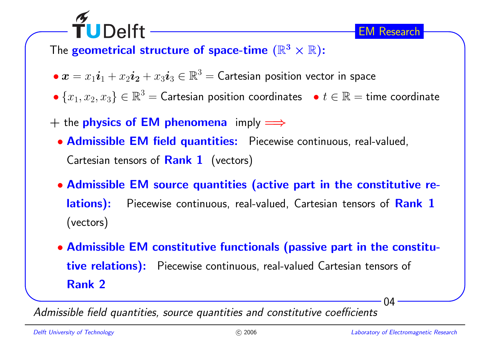## The **geometrical structure of space-time**  $(\mathbb{R}^3 \times \mathbb{R})$ :

- $\bullet \bm{x} = x_1 \bm{i}_1 + x_2 \bm{i}_2 + x_3 \bm{i}_3 \in \mathbb{R}^3 =$  Cartesian position vector in space
- • $\bullet \{x_1, x_2, x_3\} \in \mathbb{R}^3$  = Cartesian position coordinates  $\quad \bullet \; t \in \mathbb{R}$  = time coordinate
- $+$  the **physics of EM phenomena** imply  $\implies$

TUDelft

- Admissible EM field quantities: Piecewise continuous, real-valued, Cartesian tensors of <mark>Rank 1</mark> (vectors)
- Admissible EM source quantities (active part in the constitutive relations): Piecewise continuous, real-valued, Cartesian tensors of Rank 1 (vectors)
- Admissible EM constitutive functionals (passive part in the constitutive relations): Piecewise continuous, real-valued Cartesian tensors of Rank <sup>2</sup>

Admissible field quantities, source quantities and constitutive coefficients

 $\Omega$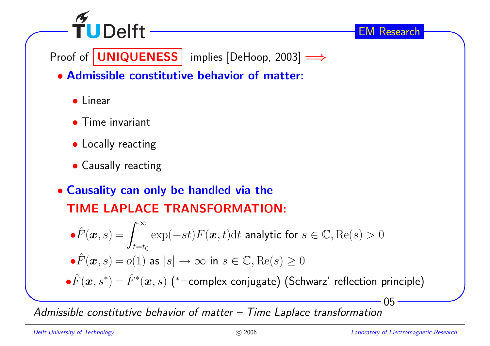

Proof of  $\fbox{\sf UNIQUENESS}$  implies [DeHoop, 2003]  $\Longrightarrow$ 

- Admissible constitutive behavior of matter:
	- Linear
	- Time invariant
	- Locally reacting
	- Causally reacting
- Causality can only be handled via theTIME LAPLACE TRANSFORMATION:

$$
\hat{F}(\boldsymbol{x}, s) = \int_{t=t_0}^{\infty} \exp(-st) F(\boldsymbol{x}, t) dt
$$
 analytic for  $s \in \mathbb{C}$ , Re(s) > 0  

$$
\hat{F}(\boldsymbol{x}, s) = o(1)
$$
 as  $|s| \to \infty$  in  $s \in \mathbb{C}$ , Re(s) \ge 0  

$$
\hat{F}(\boldsymbol{x}, s^*) = \hat{F}^*(\boldsymbol{x}, s) \quad (*=complex conjugate) \quad \text{(Schwarz' reflection principle)}
$$

Admissible constitutive behavior of matter – Time Laplace transformation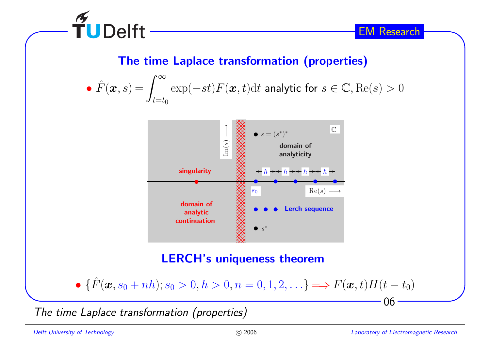

#### The time Laplace transformation (properties)

• 
$$
\hat{F}(\boldsymbol{x}, s) = \int_{t=t_0}^{\infty} \exp(-st) F(\boldsymbol{x}, t) dt
$$
 analytic for  $s \in \mathbb{C}$ , Re(s) > 0



• 
$$
\{\hat{F}(\bm{x}, s_0 + nh); s_0 > 0, h > 0, n = 0, 1, 2, \ldots\}
$$
  $\Longrightarrow$   $F(\bm{x}, t)H(t - t_0)$ 

The time Laplace transformation (properties)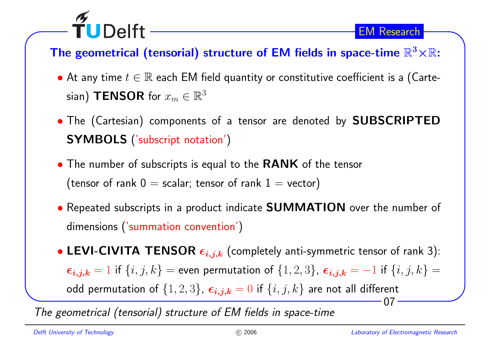## The geometrical (tensorial) structure of EM fields in space-time  $\mathbb{R}^3{\times}\mathbb{R}$ :

- $\bullet$  At any time  $t\in\mathbb{R}$  each EM field quantity or constitutive coefficient is a (Cartesian) <code>TENSOR</code> for  $x_m \in \mathbb{R}^3$
- The (Cartesian) components of <sup>a</sup> tensor are denoted by SUBSCRIPTED $\boldsymbol{\mathsf{SYMBOLS}}$  ('subscript notation')
- $\bullet$  The number of subscripts is equal to the  $\textsf{RANK}$  of the tensor (tensor of rank  $0 =$  scalar; tensor of rank  $1 =$  vector)
- Repeated subscripts in <sup>a</sup> product indicate SUMMATION over the number of dimensions ('summation convention')
- 07• LEVI-CIVITA TENSOR  $\epsilon_{i,j,k}$  (completely anti-symmetric tensor of rank 3):  $\bm{\epsilon_{i,j,k}}=1$  if  $\{i,j,k\} =$  even permutation of  $\{1,2,3\}$ ,  $\bm{\epsilon_{i,j,k}}=-1$  if  $\{i,j,k\} =$ odd permutation of  $\{1,2,3\}$ ,  $\bm{\epsilon_{i,j,k}} = 0$  if  $\{i,j,k\}$  are not all different

The geometrical (tensorial) structure of EM fields in space-time

TUDelft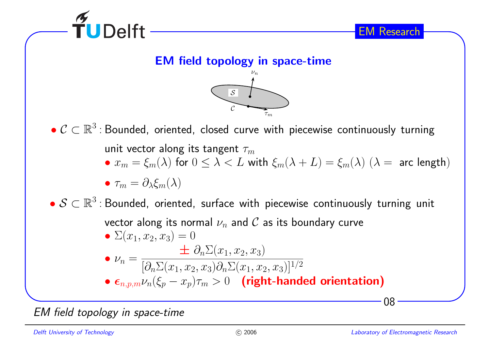

EM field topology in space-time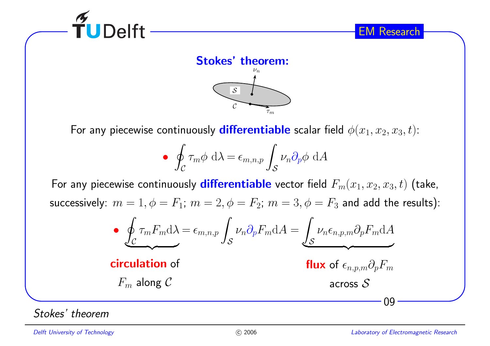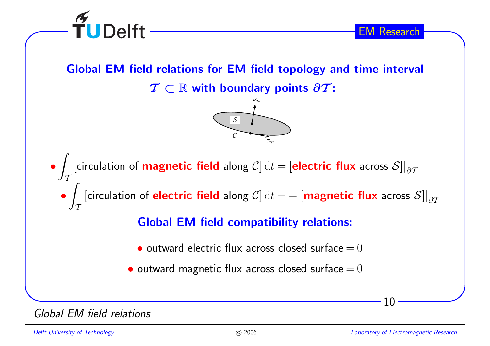

Global EM field relations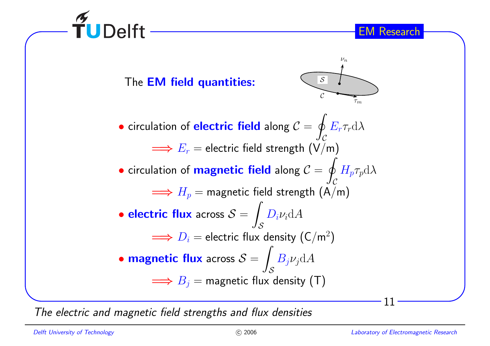

The electric and magnetic field strengths and flux densities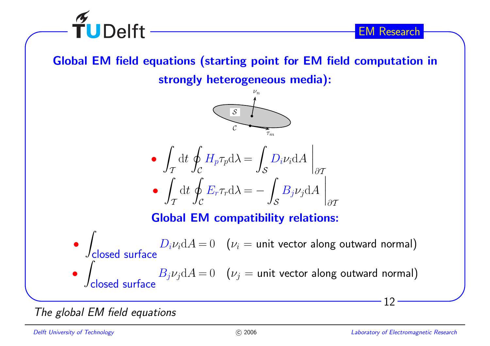

Global EM field equations (starting point for EM field computation in





The <sup>g</sup>lobal EM field equations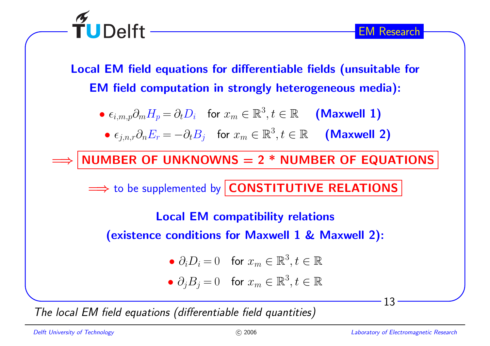

 $\widetilde{\mathbf{T}}$ UDelft -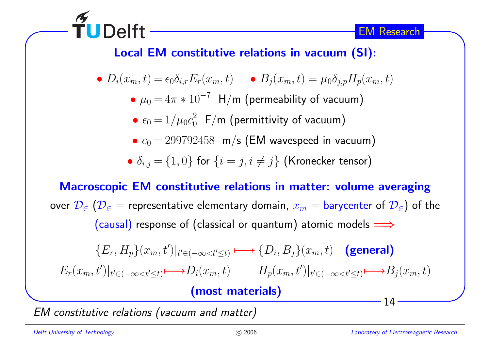

### Local EM constitutive relations in vacuum (SI):

• 
$$
D_i(x_m, t) = \epsilon_0 \delta_{i,r} E_r(x_m, t)
$$
   
•  $B_j(x_m, t) = \mu_0 \delta_{j,p} H_p(x_m, t)$ 

- $\mu_0 = 4\pi * 10^{-7}$  H/m (permeability of vacuum)
- • $\bullet\ \epsilon_0 = 1/\mu_0 c_0^2$  F/m (permittivity of vacuum)
- $\bullet \; c_0 = 299792458 \;$  m/s (EM wavespeed in vacuum)
- $\bullet$   $\delta_{i,j} = \{1,0\}$  for  $\{i=j,i\neq j\}$  (Kronecker tensor)

Macroscopic EM constitutive relations in matter: volume averagingover  $\mathcal{D}_{\in}$   $(\mathcal{D}_{\in}$  = representative elementary domain,  $x_m =$  barycenter of  $\mathcal{D}_{\in}$  ) of the (causal) response of (classical or quantum) atomic models  $\Longrightarrow$ 

$$
\{E_r, H_p\}(x_m, t')|_{t' \in (-\infty < t' \le t)} \longmapsto \{D_i, B_j\}(x_m, t) \quad \text{(general)}
$$
\n
$$
E_r(x_m, t')|_{t' \in (-\infty < t' \le t)} \longmapsto D_i(x_m, t) \quad H_p(x_m, t')|_{t' \in (-\infty < t' \le t)} \longmapsto B_j(x_m, t)
$$
\n(most materials)

EM constitutive relations (vacuum and matter)

**TUDelft**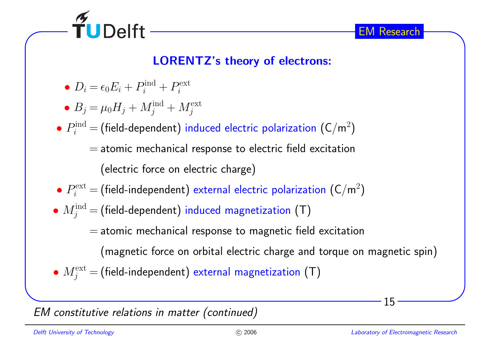

#### LORENTZ's theory of electrons:

- $D_i = \epsilon_0 E_i + P_i^{\text{ind}} + P_i^{\text{ext}}$
- $B_j = \mu_0 H_j + M_j^{\text{ind}} + M_j^{\text{ext}}$

• $\bullet$   $P_i^{\text{ind}}$  = (field-dependent) induced electric polarization (C/m<sup>2</sup>)

> $=$  atomic mechanical response to electric field excitation (electric force on electric charge)

- • $\bullet$   $P_i^{\text{ext}}$  = (field-independent) external electric polarization (C/m<sup>2</sup>)
- • $\bullet \ M^{\text{ind}}_j$  = (field-dependent) induced magnetization (T)
	- $=$  atomic mechanical response to magnetic field excitation

(magnetic force on orbital electric charge and torque on magnetic spin)

• $\bullet$   $M_j^{\text{ext}}$   $=$  (field-independent) external magnetization (T)

#### EM constitutive relations in matter (continued)

15

EM Research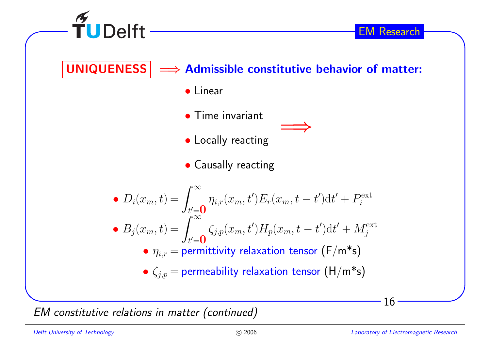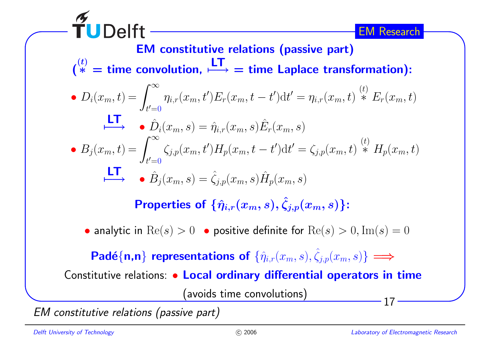**UDelft** EM ResearchEM constitutive relations (passive part) $\binom{(t)}{*}$  = time convolution,  $\stackrel{\blacksquare\hspace{0.1em}\blacksquare\hspace{0.1em}\smash{\mathop{\longleftarrow}}}}{=}$  time Laplace trans  $\;\dot{\to}\; =$  time Laplace transformation):  $=\int_{t'=0}^{\infty} \eta_{i,r}(x_m, t')E_r(x_m, t-t')dt' = \eta_{i,r}(x_m, t) \stackrel{(t)}{*} E_r(x_m, t)$ •  $D_i(x_m,t) =$ LT $\begin{array}{cc} \begin{array}{c} \begin{array}{c} \text{L-I} \end{array} \\ \begin{array}{c} \text{I} \end{array} \end{array} \end{array} \begin{array}{cc} \begin{array}{c} \text{I} \end{array} \end{array}$  $\hat{D}_i(x_m, s) = \hat{\eta}_{i,r}(x_m, s) \hat{E}^{\dag}$  $E_r(x_m, s)$  $=\int_{t'=0}^{\infty} \zeta_{j,p}(x_m, t')H_p(x_m, t-t')dt' = \zeta_{j,p}(x_m, t) \stackrel{(t)}{*} H_p(x_m, t)$ •  $B_j(x_m,t) =$ LT $\longrightarrow$  •  $\hat{B}_j(x_m, s) = \hat{\zeta}_{j,p}(x_m, s) \hat{H}_p(x_m, s)$ Properties of  $\{\hat\eta_{i,r}(x_m,s),\hat\zeta_{j,p}(x_m,s)\}$ : • analytic in  $\text{Re}(s) > 0$  • positive definite for  $\text{Re}(s) > 0, \text{Im}(s) = 0$  $\textsf{Pad\'e}\{\mathsf{n},\mathsf{n}\}$  representations of  $\{\hat\eta_{i,r}(x_m,s),\hat\zeta_{j,p}(x_m,s)\} \Longrightarrow$  Constitutive relations: • Local ordinary differential operators in time(avoids time convolutions)17

EM constitutive relations (passive part)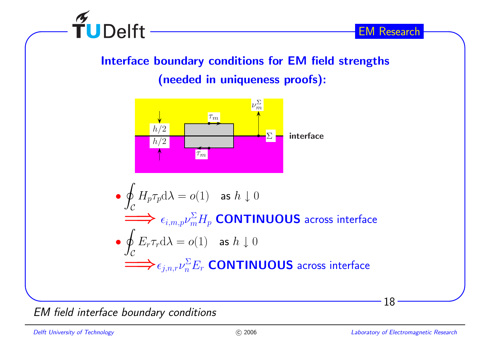

## Interface boundary conditions for EM field strengths(needed in uniqueness proofs):



EM field interface boundary conditions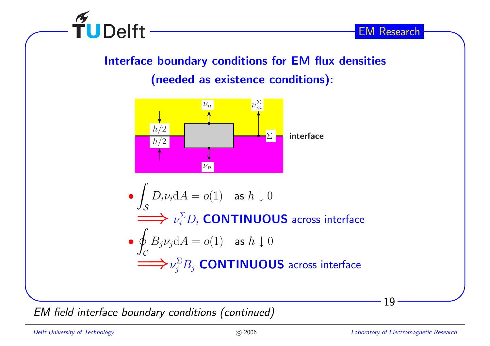

#### Interface boundary conditions for EM flux densities

(needed as existence conditions):



EM field interface boundary conditions (continued)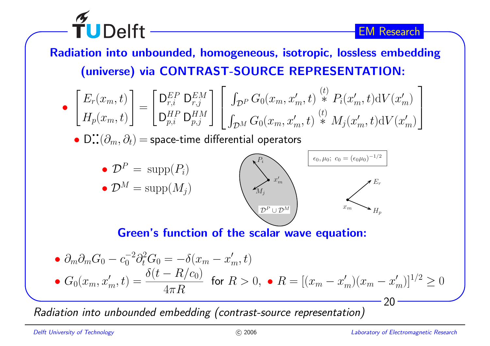$\widetilde{\mathbf{T}}$ UDelft Radiation into unbounded, homogeneous, isotropic, lossless embedding(universe) via CONTRAST-SOURCE REPRESENTATION:

$$
\bullet \quad \begin{bmatrix} E_r(x_m, t) \\ H_p(x_m, t) \end{bmatrix} = \begin{bmatrix} \mathsf{D}^{EP}_{r,i} & \mathsf{D}^{EM}_{r,j} \\ \mathsf{D}^{HP}_{p,i} & \mathsf{D}^{HM}_{p,j} \end{bmatrix} \begin{bmatrix} \int_{\mathcal{D}^P} G_0(x_m, x'_m, t) \stackrel{(t)}{*} {*} P_i(x'_m, t) \mathrm{d}V(x'_m) \\ \int_{\mathcal{D}^M} G_0(x_m, x'_m, t) \stackrel{(t)}{*} {*} M_j(x'_m, t) \mathrm{d}V(x'_m) \end{bmatrix}
$$

 $\bullet$   $\mathsf{D}$ :: $(\partial_m, \partial_t)$   $=$  space-time differential operators



#### Green's function of the scalar wave equation:

• 
$$
\partial_m \partial_m G_0 - c_0^{-2} \partial_t^2 G_0 = -\delta(x_m - x'_m, t)
$$
  
\n•  $G_0(x_m, x'_m, t) = \frac{\delta(t - R/c_0)}{4\pi R}$  for  $R > 0$ ,   
\n•  $R = [(x_m - x'_m)(x_m - x'_m)]^{1/2} \ge 0$ 

Radiation into unbounded embedding (contrast-source representation)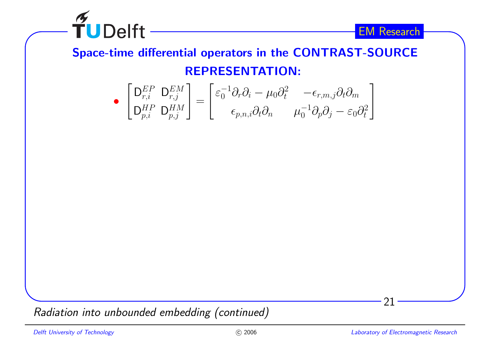

Space-time differential operators in the CONTRAST-SOURCEREPRESENTATION:

$$
\bullet \begin{bmatrix} \mathsf{D}^{EP}_{r,i} & \mathsf{D}^{EM}_{r,j} \\ \mathsf{D}^{HP}_{p,i} & \mathsf{D}^{HM}_{p,j} \end{bmatrix} = \begin{bmatrix} \varepsilon_0^{-1} \partial_r \partial_i - \mu_0 \partial_t^2 & -\epsilon_{r,m,j} \partial_t \partial_m \\ \epsilon_{p,n,i} \partial_t \partial_n & \mu_0^{-1} \partial_p \partial_j - \varepsilon_0 \partial_t^2 \end{bmatrix}
$$

Radiation into unbounded embedding (continued)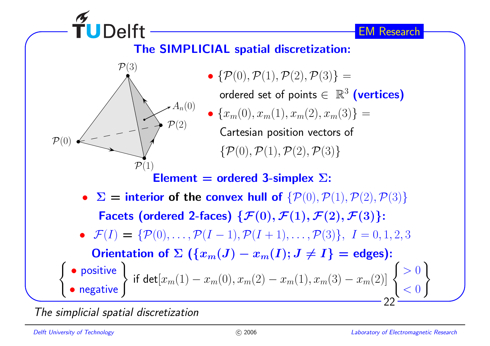

The simplicial spatial discretization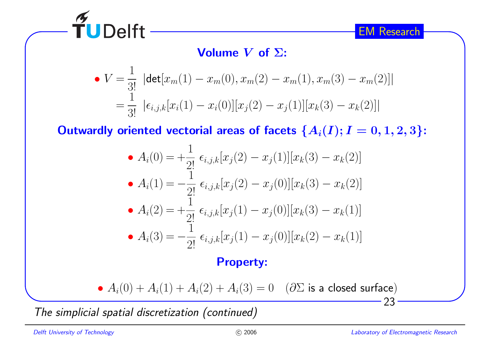

## Volume  $V$  of  $\Sigma$ :

• 
$$
V = \frac{1}{3!} |\det[x_m(1) - x_m(0), x_m(2) - x_m(1), x_m(3) - x_m(2)]|
$$
  
\n
$$
= \frac{1}{3!} |\epsilon_{i,j,k}[x_i(1) - x_i(0)][x_j(2) - x_j(1)][x_k(3) - x_k(2)]|
$$

Outwardly oriented vectorial areas of facets  $\{A_i(I); I=0,1,2,3\}$ :

• 
$$
A_i(0) = +\frac{1}{2!} \epsilon_{i,j,k}[x_j(2) - x_j(1)][x_k(3) - x_k(2)]
$$
  
\n•  $A_i(1) = -\frac{1}{2!} \epsilon_{i,j,k}[x_j(2) - x_j(0)][x_k(3) - x_k(2)]$   
\n•  $A_i(2) = +\frac{1}{2!} \epsilon_{i,j,k}[x_j(1) - x_j(0)][x_k(3) - x_k(1)]$   
\n•  $A_i(3) = -\frac{1}{2!} \epsilon_{i,j,k}[x_j(1) - x_j(0)][x_k(2) - x_k(1)]$ 

#### Property:

• 
$$
A_i(0) + A_i(1) + A_i(2) + A_i(3) = 0
$$
 ( $\partial \Sigma$  is a closed surface)

The simplicial spatial discretization (continued)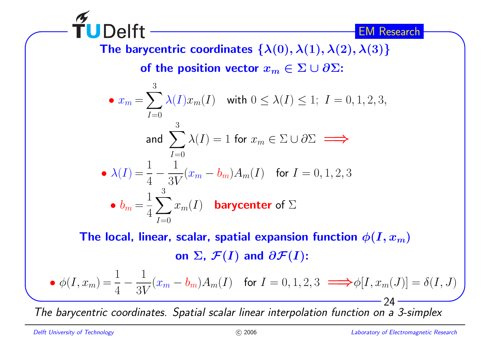**TUDelft** The barycentric coordinates  $\{\lambda(0),\lambda(1),\lambda(2),\lambda(3)\}$ of the position vector  $x_m \in \Sigma \cup \partial \Sigma$ : 3•  $x_m = \sum_{I=0} \lambda(I)x_m(I)$  with  $0 \leq \lambda(I) \leq 1$ ;  $I = 0, 1, 2, 3$ ,  $I{=}0$ 3and  $\sum$  $\sum_{i=1}^{n} \lambda(I) = 1$  for  $x_m \in \Sigma \cup \partial \Sigma \implies$  $I{=}0$  $\bullet$   $\lambda(I)\!=\!\frac{1}{4}-\frac{1}{3V}(x_m-b_m)A_m(I) \quad$  for  $I=0,1,2,3$ •  $b_m = \frac{1}{4}\sum_{n=1}^{3}$  $x_m(I)$  barycenter of  $\Sigma$  $I{=}0$ 

The local, linear, scalar, spatial expansion function  $\phi(I,x_m)$ on  $\Sigma$ ,  $\mathcal{F}(I)$  and  $\partial \mathcal{F}(I)$ :

• 
$$
\phi(I, x_m) = \frac{1}{4} - \frac{1}{3V}(x_m - b_m)A_m(I)
$$
 for  $I = 0, 1, 2, 3 \implies \phi[I, x_m(J)] = \delta(I, J)$ 

The barycentric coordinates. Spatial scalar linear interpolation function on <sup>a</sup> 3-simplex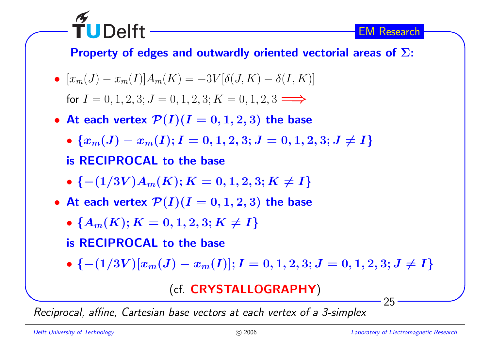Property of edges and outwardly oriented vectorial areas of  $\Sigma$ :

• 
$$
[x_m(J) - x_m(I)]A_m(K) = -3V[\delta(J, K) - \delta(I, K)]
$$
  
for  $I = 0, 1, 2, 3; J = 0, 1, 2, 3; K = 0, 1, 2, 3 \Longrightarrow$ 

• At each vertex  $\mathcal{P}(I)(I=0,1,2,3)$  the base

• 
$$
\{x_m(J) - x_m(I); I = 0, 1, 2, 3; J = 0, 1, 2, 3; J \neq I\}
$$
  
is RECIPROCAL to the base

- ${-(1/3V)A_m(K); K = 0, 1, 2, 3; K \neq I}$
- At each vertex  $\mathcal{P}(I)(I=0,1,2,3)$  the base
	- $\bullet\;\{A_m(K); K=0,1,2,3; K\neq I\}$

is RECIPROCAL to the base

TUDelft

•  $\{-(1/3V)[x_m(J) - x_m(I)]; I = 0, 1, 2, 3; J = 0, 1, 2, 3; J \neq I\}$ 

### (cf. CRYSTALLOGRAPHY)

Reciprocal, affine, Cartesian base vectors at each vertex of <sup>a</sup> 3-simplex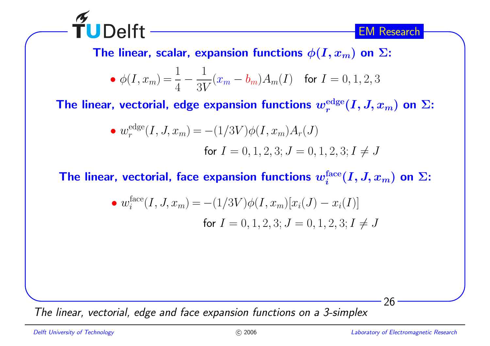

The linear, scalar, expansion functions  $\phi(I,x_m)$  on  $\Sigma$ :

• 
$$
\phi(I, x_m) = \frac{1}{4} - \frac{1}{3V}(x_m - b_m)A_m(I)
$$
 for  $I = 0, 1, 2, 3$ 

The linear, vectorial, edge expansion functions  $w_r^{\mathrm{edge}}(I,J,x_m)$  on  $\Sigma$ :

• 
$$
w_r^{\text{edge}}(I, J, x_m) = -(1/3V)\phi(I, x_m)A_r(J)
$$
  
for  $I = 0, 1, 2, 3; J = 0, 1, 2, 3; I \neq J$ 

The linear, vectorial, face expansion functions  $w^{\text{face}}_{i} (I,J,x_{m})$  on  $\Sigma:$ 

• 
$$
w_i^{\text{face}}(I, J, x_m) = -(1/3V)\phi(I, x_m)[x_i(J) - x_i(I)]
$$
  
for  $I = 0, 1, 2, 3; J = 0, 1, 2, 3; I \neq J$ 

The linear, vectorial, edge and face expansion functions on <sup>a</sup> 3-simplex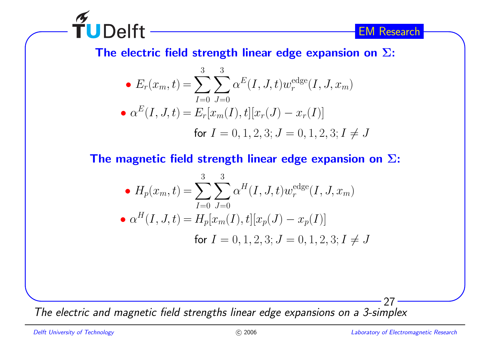

The electric field strength linear edge expansion on  $\Sigma$ :

• 
$$
E_r(x_m, t) = \sum_{I=0}^{3} \sum_{J=0}^{3} \alpha^E(I, J, t) w_r^{\text{edge}}(I, J, x_m)
$$
  
\n•  $\alpha^E(I, J, t) = E_r[x_m(I), t][x_r(J) - x_r(I)]$   
\nfor  $I = 0, 1, 2, 3; J = 0, 1, 2, 3; I \neq J$ 

The magnetic field strength linear edge expansion on  $\Sigma$ :

• 
$$
H_p(x_m, t) = \sum_{I=0}^{3} \sum_{J=0}^{3} \alpha^H(I, J, t) w_r^{\text{edge}}(I, J, x_m)
$$
  
\n•  $\alpha^H(I, J, t) = H_p[x_m(I), t][x_p(J) - x_p(I)]$   
\nfor  $I = 0, 1, 2, 3; J = 0, 1, 2, 3; I \neq J$ 

The electric and magnetic field strengths linear edge expansions on <sup>a</sup> 3-simplex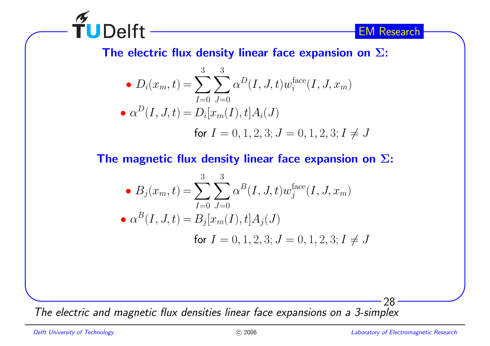

The electric flux density linear face expansion on  $\Sigma$ :

• 
$$
D_i(x_m, t) = \sum_{I=0}^{3} \sum_{J=0}^{3} \alpha^D(I, J, t) w_i^{\text{face}}(I, J, x_m)
$$
  
\n•  $\alpha^D(I, J, t) = D_i[x_m(I), t] A_i(J)$   
\nfor  $I = 0, 1, 2, 3; J = 0, 1, 2, 3; I \neq J$ 

The magnetic flux density linear face expansion on  $\Sigma$ :

• 
$$
B_j(x_m, t) = \sum_{I=0}^3 \sum_{J=0}^3 \alpha^B(I, J, t) w_j^{\text{face}}(I, J, x_m)
$$
  
\n•  $\alpha^B(I, J, t) = B_j[x_m(I), t]A_j(J)$   
\nfor  $I = 0, 1, 2, 3; J = 0, 1, 2, 3; I \neq J$ 

The electric and magnetic flux densities linear face expansions on <sup>a</sup> 3-simplex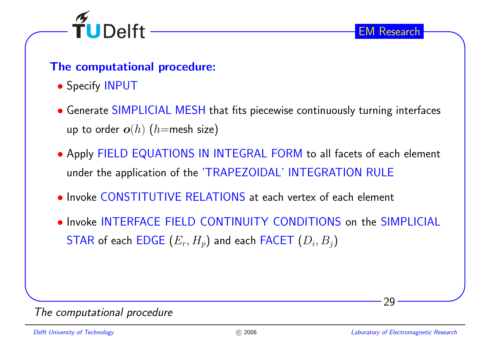

#### The computational procedure:

- Specify INPUT
- Generate SIMPLICIAL MESH that fits <sup>p</sup>iecewise continuously turning interfaces up to order  $\bm{o}(h)$   $(h{=}{\sf{mesh}}$  size)
- Apply FIELD EQUATIONS IN INTEGRAL FORM to all facets of each element under the application of the 'TRAPEZOIDAL' INTEGRATION RULE
- Invoke CONSTITUTIVE RELATIONS at each vertex of each element
- Invoke INTERFACE FIELD CONTINUITY CONDITIONS on the SIMPLICIAL  $\begin{aligned} \mathsf{STAR}\ \mathsf{of}\ \mathsf{each}\ \mathsf{EDGE}\ (E_r,H_p)\ \mathsf{and}\ \mathsf{each}\ \mathsf{FACET}\ (D_i,B_j) \end{aligned}$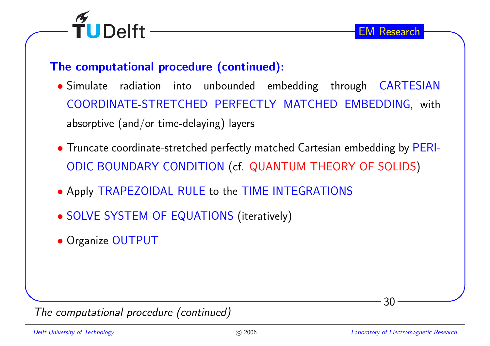

#### The computational procedure (continued):

- Simulate radiation into unbounded embedding through CARTESIAN COORDINATE-STRETCHED PERFECTLY MATCHED EMBEDDING, withabsorptive (and/or time-delaying) layers
- Truncate coordinate-stretched perfectly matched Cartesian embedding by PERI-ODIC BOUNDARY CONDITION (cf. QUANTUM THEORY OF SOLIDS)
- Apply TRAPEZOIDAL RULE to the TIME INTEGRATIONS
- SOLVE SYSTEM OF EQUATIONS (iteratively)
- Organize OUTPUT

The computational procedure (continued)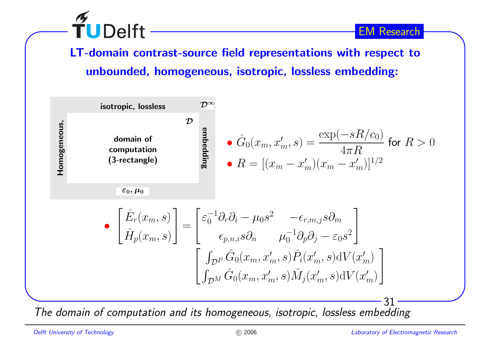

LT-domain contrast-source field representations with respect tounbounded, homogeneous, isotropic, lossless embedding:



The domain of computation and its homogeneous, isotropic, lossless embedding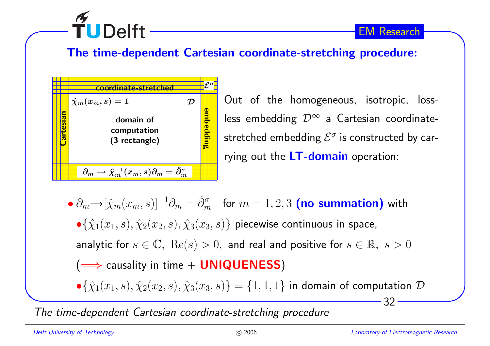

#### The time-dependent Cartesian coordinate-stretching procedure:



Out of the homogeneous, isotropic, lossless embedding  $\mathcal{D}^{\infty}$  a Cartesian coordinatestretched embedding  $\mathcal{E}^{\sigma}$  is constructed by carrying out the <mark>LT-domain</mark> operation:

••  $\partial_m \rightarrow [\hat{\chi}_m(x_m, s)]^{-1} \partial_m = \hat{\partial}_m^{\sigma}$  for  $m = 1, 2, 3$  (no summation) with  $\bullet \{ \hat{\chi}_1(x_1,s), \hat{\chi}_2(x_2,s), \hat{\chi}_3(x_3,s) \}$  piecewise continuous in space, analytic for  $s\in\mathbb{C},\,\,\mathrm{Re}(s)>0,$  and real and positive for  $s\in\mathbb{R},\,\,s>0$  $(\Longrightarrow$  causality in time  $+$  <code>UNIQUENESS</code>)

 $\bullet \{\hat{\chi}_1(x_1,s), \hat{\chi}_2(x_2,s), \hat{\chi}_3(x_3,s)\} = \{1,1,1\}$  in domain of computation  ${\cal D}$ 

The time-dependent Cartesian coordinate-stretching procedure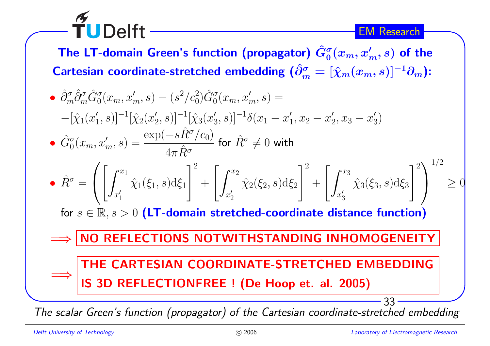The LT-domain Green's function (propagator)  $\hat G_0^{\sigma}$ Cartesian coordinate-stretched embedding ( $\hat{\partial}_m^\sigma$  :  $\frac{\sigma}{0}(x_m,x'_m,s)$  of the σ $\boldsymbol{m}$  $\hat{y}^\sigma_m = [\hat{\chi}_m(x_m,s)]^{-1} \partial_m$ ):

• 
$$
\hat{\partial}_m^{\sigma} \hat{\partial}_m^{\sigma} \hat{G}_0^{\sigma}(x_m, x'_m, s) - (s^2/c_0^2) \hat{G}_0^{\sigma}(x_m, x'_m, s) =
$$
  
\n
$$
-[\hat{\chi}_1(x'_1, s)]^{-1} [\hat{\chi}_2(x'_2, s)]^{-1} [\hat{\chi}_3(x'_3, s)]^{-1} \delta(x_1 - x'_1, x_2 - x'_2, x_3 - x'_3)
$$
\n•  $\hat{G}_0^{\sigma}(x_m, x'_m, s) = \frac{\exp(-s\hat{R}^{\sigma}/c_0)}{4\pi \hat{R}^{\sigma}}$  for  $\hat{R}^{\sigma} \neq 0$  with\n\n•  $\hat{R}^{\sigma} = \left( \left[ \int_{x'_1}^{x_1} \hat{\chi}_1(\xi_1, s) d\xi_1 \right]^2 + \left[ \int_{x'_2}^{x_2} \hat{\chi}_2(\xi_2, s) d\xi_2 \right]^2 + \left[ \int_{x'_3}^{x_3} \hat{\chi}_3(\xi_3, s) d\xi_3 \right]^2 \right)^{1/2} \ge 0$ \nfor  $s \in \mathbb{R}, s > 0$  (LT-domain stretched-coordinate distance function)\n\n
$$
\implies \boxed{\text{NO REFLECTIONS NOTWITHSTANDING INHOMOGENEITY}}
$$
\n\nTHE CARTESIAN COORDINATE-STATEDE MBEDDING  
\nIS 3D REFLECTIONFREE! (De Hoop et. al. 2005)\n\n1S 3D REFLECTIONFREE! (De Hoop et. al. 2005)

The scalar Green's function (propagator) of the Cartesian coordinate-stretched embedding

 $\widetilde{\mathbf{T}}$ UDelft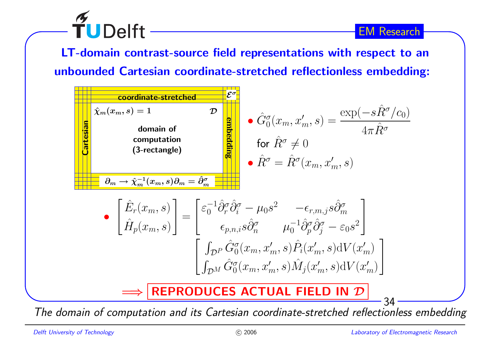LT-domain contrast-source field representations with respect to anunbounded Cartesian coordinate-stretched reflectionless embedding:



The domain of computation and its Cartesian coordinate-stretched reflectionless embedding

TUDelft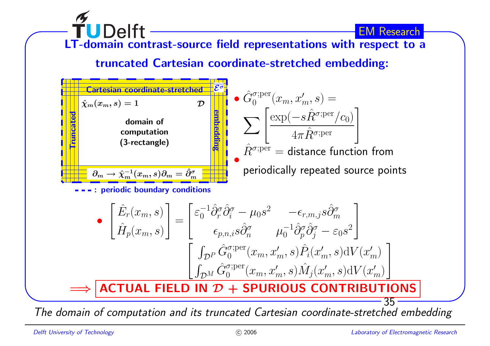

The domain of computation and its truncated Cartesian coordinate-stretched embedding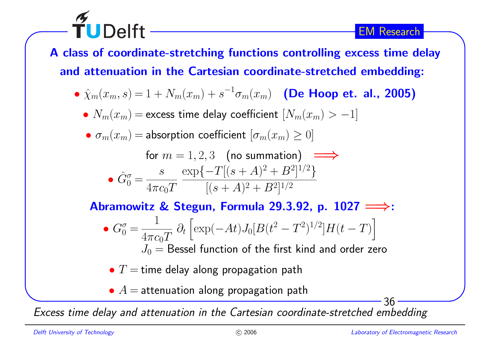<sup>A</sup> class of coordinate-stretching functions controlling excess time delayand attenuation in the Cartesian coordinate-stretched embedding:

- $\hat{\chi}_m(x_m, s) = 1 + N_m(x_m) + s^{-1}\sigma_m(x_m)$  (De Hoop et. al., 2005)
	- $N_m(x_m)$   $=$  excess time delay coefficient  $[N_m(x_m) > -1]$
	- $\bullet$   $\sigma_m(x_m)$   $=$  absorption coefficient  $[\sigma_m(x_m) \geq 0]$

$$
\text{for } m = 1, 2, 3 \quad \text{(no summation)} \implies
$$
\n
$$
\text{• } \hat{G}_0^{\sigma} = \frac{s}{4\pi c_0 T} \frac{\exp\{-T[(s+A)^2 + B^2]^{1/2}\}}{[(s+A)^2 + B^2]^{1/2}}
$$

Abramowitz & Stegun, Formula 29.3.92, p.  $1027 \Longrightarrow$ : •  $G_0^{\sigma} = \frac{1}{4\pi c_0 T} \partial_t \left[ \exp(-At) J_0 [B(t^2 - T^2)^{1/2}] H(t - T) \right]$ 

 $J_0 = {\sf Bessel}$  function of the first kind and order zero

 $\bullet$   $T=$  time delay along propagation path

 $\bullet$   $A=$  attenuation along propagation path

Excess time delay and attenuation in the Cartesian coordinate-stretched embedding

TUDelft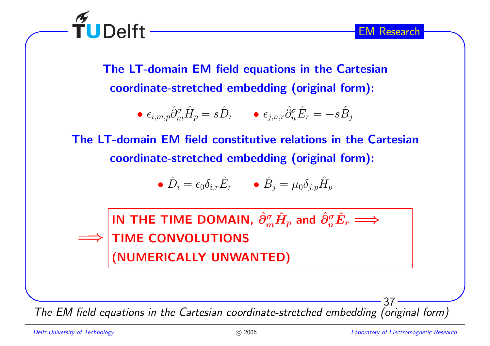

The LT-domain EM field equations in the Cartesiancoordinate-stretched embedding (original form):

• 
$$
\epsilon_{i,m,p} \hat{\partial}_m^{\sigma} \hat{H}_p = s \hat{D}_i
$$
 •  $\epsilon_{j,n,r} \hat{\partial}_n^{\sigma} \hat{E}_r = -s \hat{B}_j$ 

The LT-domain EM field constitutive relations in the Cartesiancoordinate-stretched embedding (original form):

$$
\bullet \ \hat{D}_i = \epsilon_0 \delta_{i,r} \hat{E}_r \qquad \bullet \ \hat{B}_j = \mu_0 \delta_{j,p} \hat{H}_p
$$

=⇒IN THE TIME DOMAIN,  $\hat{\partial}^{\sigma}_{n}$  $_m^{\sigma}\hat{H}$  $\hat{\rho}_{p}$  and  $\hat{\partial}_{n}^{\sigma}$  $\frac{\sigma}{n}\hat{E}$  $\rightarrow$ TIME CONVOLUTIONS(NUMERICALLY UNWANTED)

The EM field equations in the Cartesian coordinate-stretched embedding (original form)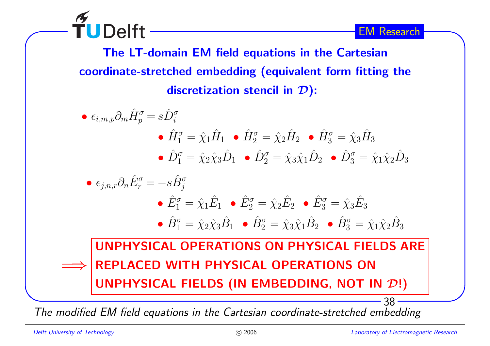**TUDelft** 

EM Research

The LT-domain EM field equations in the Cartesiancoordinate-stretched embedding (equivalent form fitting thediscretization stencil in  $\mathcal{D})$ :



The modified EM field equations in the Cartesian coordinate-stretched embedding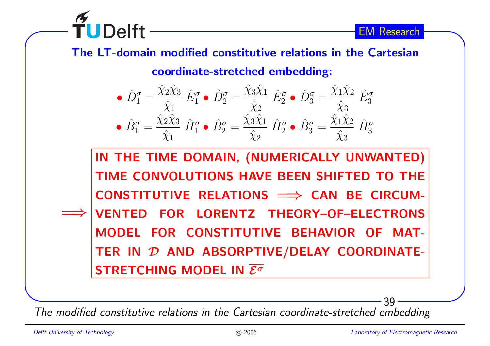

## The LT-domain modified constitutive relations in the Cartesiancoordinate-stretched embedding:

$$
\begin{aligned}\n\bullet \hat{D}_1^{\sigma} &= \frac{\hat{\chi}_2 \hat{\chi}_3}{\hat{\chi}_1} \hat{E}_1^{\sigma} \bullet \hat{D}_2^{\sigma} = \frac{\hat{\chi}_3 \hat{\chi}_1}{\hat{\chi}_2} \hat{E}_2^{\sigma} \bullet \hat{D}_3^{\sigma} = \frac{\hat{\chi}_1 \hat{\chi}_2}{\hat{\chi}_3} \hat{E}_3^{\sigma} \\
\bullet \hat{B}_1^{\sigma} &= \frac{\hat{\chi}_2 \hat{\chi}_3}{\hat{\chi}_1} \hat{H}_1^{\sigma} \bullet \hat{B}_2^{\sigma} = \frac{\hat{\chi}_3 \hat{\chi}_1}{\hat{\chi}_2} \hat{H}_2^{\sigma} \bullet \hat{B}_3^{\sigma} = \frac{\hat{\chi}_1 \hat{\chi}_2}{\hat{\chi}_3} \hat{H}_3^{\sigma}\n\end{aligned}
$$

=⇒IN THE TIME DOMAIN, (NUMERICALLY UNWANTED)TIME CONVOLUTIONS HAVE BEEN SHIFTED TO THECONSTITUTIVE RELATIONS <sup>=</sup><sup>⇒</sup> CAN BE CIRCUM-VENTED FOR LORENTZ THEORY–OF–ELECTRONSMODEL FOR CONSTITUTIVE BEHAVIOR OF MAT-TER IN  ${\cal D}$  and absorptive/delay coordinate- $\overline{\text{STRETCHING MODEL IN }\mathcal{E}^{\sigma}}$ 

The modified constitutive relations in the Cartesian coordinate-stretched embedding

**TUDelft**